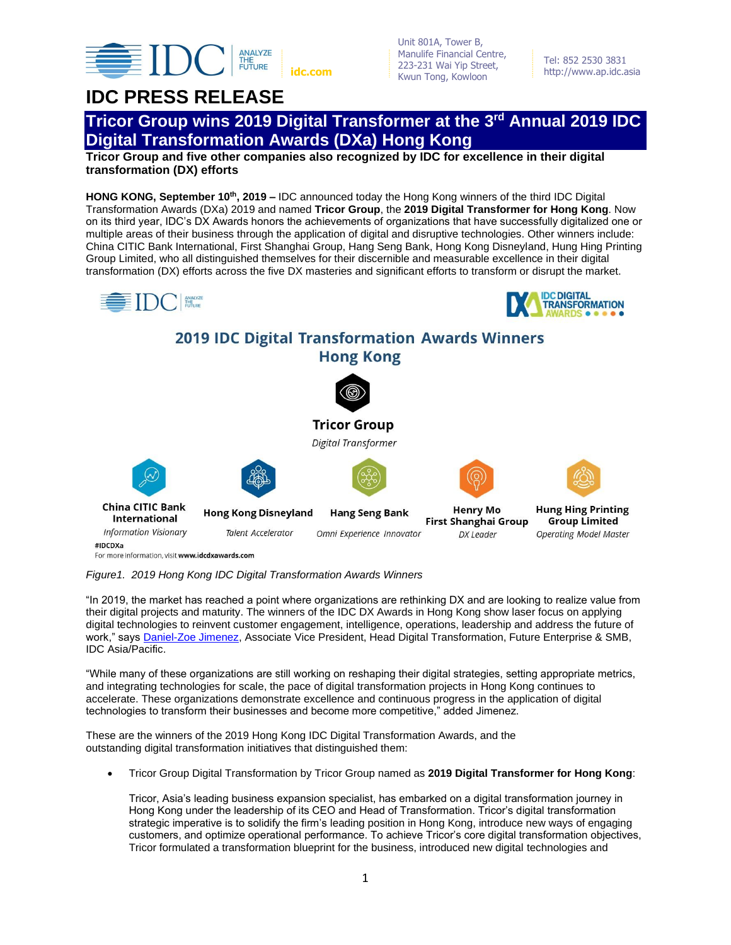

Unit 801A, Tower B, Manulife Financial Centre, 223-231 Wai Yip Street, Kwun Tong, Kowloon **idc.com http://www.ap.idc.asia** 

Tel: 852 2530 3831

## **IDC PRESS RELEASE**



**Tricor Group and five other companies also recognized by IDC for excellence in their digital transformation (DX) efforts**

**HONG KONG, September 10th , 2019 –** IDC announced today the Hong Kong winners of the third IDC Digital Transformation Awards (DXa) 2019 and named **Tricor Group**, the **2019 Digital Transformer for Hong Kong**. Now on its third year, IDC's DX Awards honors the achievements of organizations that have successfully digitalized one or multiple areas of their business through the application of digital and disruptive technologies. Other winners include: China CITIC Bank International, First Shanghai Group, Hang Seng Bank, Hong Kong Disneyland, Hung Hing Printing Group Limited, who all distinguished themselves for their discernible and measurable excellence in their digital transformation (DX) efforts across the five DX masteries and significant efforts to transform or disrupt the market.



*Figure1. 2019 Hong Kong IDC Digital Transformation Awards Winners* 

"In 2019, the market has reached a point where organizations are rethinking DX and are looking to realize value from their digital projects and maturity. The winners of the IDC DX Awards in Hong Kong show laser focus on applying digital technologies to reinvent customer engagement, intelligence, operations, leadership and address the future of work," says [Daniel-Zoe Jimenez,](https://www.idc.com/getdoc.jsp?containerId=PRF003612) Associate Vice President, Head Digital Transformation, Future Enterprise & SMB, IDC Asia/Pacific.

"While many of these organizations are still working on reshaping their digital strategies, setting appropriate metrics, and integrating technologies for scale, the pace of digital transformation projects in Hong Kong continues to accelerate. These organizations demonstrate excellence and continuous progress in the application of digital technologies to transform their businesses and become more competitive," added Jimenez.

These are the winners of the 2019 Hong Kong IDC Digital Transformation Awards, and the outstanding digital transformation initiatives that distinguished them:

• Tricor Group Digital Transformation by Tricor Group named as **2019 Digital Transformer for Hong Kong**:

Tricor, Asia's leading business expansion specialist, has embarked on a digital transformation journey in Hong Kong under the leadership of its CEO and Head of Transformation. Tricor's digital transformation strategic imperative is to solidify the firm's leading position in Hong Kong, introduce new ways of engaging customers, and optimize operational performance. To achieve Tricor's core digital transformation objectives, Tricor formulated a transformation blueprint for the business, introduced new digital technologies and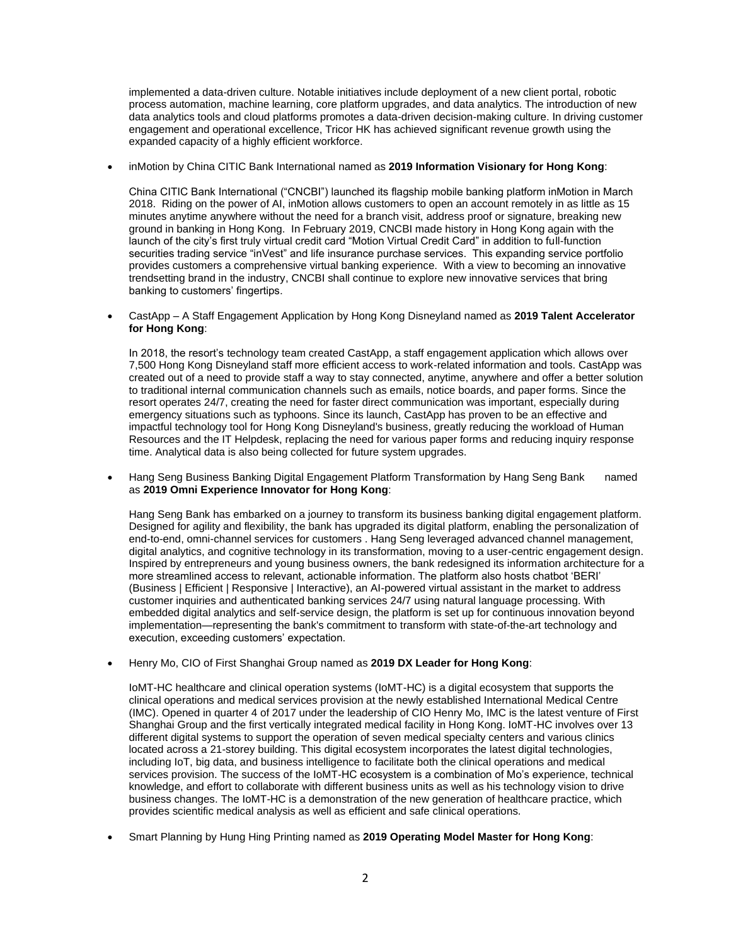implemented a data-driven culture. Notable initiatives include deployment of a new client portal, robotic process automation, machine learning, core platform upgrades, and data analytics. The introduction of new data analytics tools and cloud platforms promotes a data-driven decision-making culture. In driving customer engagement and operational excellence, Tricor HK has achieved significant revenue growth using the expanded capacity of a highly efficient workforce.

• inMotion by China CITIC Bank International named as **2019 Information Visionary for Hong Kong**:

China CITIC Bank International ("CNCBI") launched its flagship mobile banking platform inMotion in March 2018. Riding on the power of AI, inMotion allows customers to open an account remotely in as little as 15 minutes anytime anywhere without the need for a branch visit, address proof or signature, breaking new ground in banking in Hong Kong. In February 2019, CNCBI made history in Hong Kong again with the launch of the city's first truly virtual credit card "Motion Virtual Credit Card" in addition to full-function securities trading service "inVest" and life insurance purchase services. This expanding service portfolio provides customers a comprehensive virtual banking experience. With a view to becoming an innovative trendsetting brand in the industry, CNCBI shall continue to explore new innovative services that bring banking to customers' fingertips.

• CastApp – A Staff Engagement Application by Hong Kong Disneyland named as **2019 Talent Accelerator for Hong Kong**:

In 2018, the resort's technology team created CastApp, a staff engagement application which allows over 7,500 Hong Kong Disneyland staff more efficient access to work-related information and tools. CastApp was created out of a need to provide staff a way to stay connected, anytime, anywhere and offer a better solution to traditional internal communication channels such as emails, notice boards, and paper forms. Since the resort operates 24/7, creating the need for faster direct communication was important, especially during emergency situations such as typhoons. Since its launch, CastApp has proven to be an effective and impactful technology tool for Hong Kong Disneyland's business, greatly reducing the workload of Human Resources and the IT Helpdesk, replacing the need for various paper forms and reducing inquiry response time. Analytical data is also being collected for future system upgrades.

• Hang Seng Business Banking Digital Engagement Platform Transformation by Hang Seng Bank named as **2019 Omni Experience Innovator for Hong Kong**:

Hang Seng Bank has embarked on a journey to transform its business banking digital engagement platform. Designed for agility and flexibility, the bank has upgraded its digital platform, enabling the personalization of end-to-end, omni-channel services for customers . Hang Seng leveraged advanced channel management, digital analytics, and cognitive technology in its transformation, moving to a user-centric engagement design. Inspired by entrepreneurs and young business owners, the bank redesigned its information architecture for a more streamlined access to relevant, actionable information. The platform also hosts chatbot 'BERI' (Business | Efficient | Responsive | Interactive), an AI-powered virtual assistant in the market to address customer inquiries and authenticated banking services 24/7 using natural language processing. With embedded digital analytics and self-service design, the platform is set up for continuous innovation beyond implementation—representing the bank's commitment to transform with state-of-the-art technology and execution, exceeding customers' expectation.

• Henry Mo, CIO of First Shanghai Group named as **2019 DX Leader for Hong Kong**:

IoMT-HC healthcare and clinical operation systems (IoMT-HC) is a digital ecosystem that supports the clinical operations and medical services provision at the newly established International Medical Centre (IMC). Opened in quarter 4 of 2017 under the leadership of CIO Henry Mo, IMC is the latest venture of First Shanghai Group and the first vertically integrated medical facility in Hong Kong. IoMT-HC involves over 13 different digital systems to support the operation of seven medical specialty centers and various clinics located across a 21-storey building. This digital ecosystem incorporates the latest digital technologies, including IoT, big data, and business intelligence to facilitate both the clinical operations and medical services provision. The success of the IoMT-HC ecosystem is a combination of Mo's experience, technical knowledge, and effort to collaborate with different business units as well as his technology vision to drive business changes. The IoMT-HC is a demonstration of the new generation of healthcare practice, which provides scientific medical analysis as well as efficient and safe clinical operations.

• Smart Planning by Hung Hing Printing named as **2019 Operating Model Master for Hong Kong**: